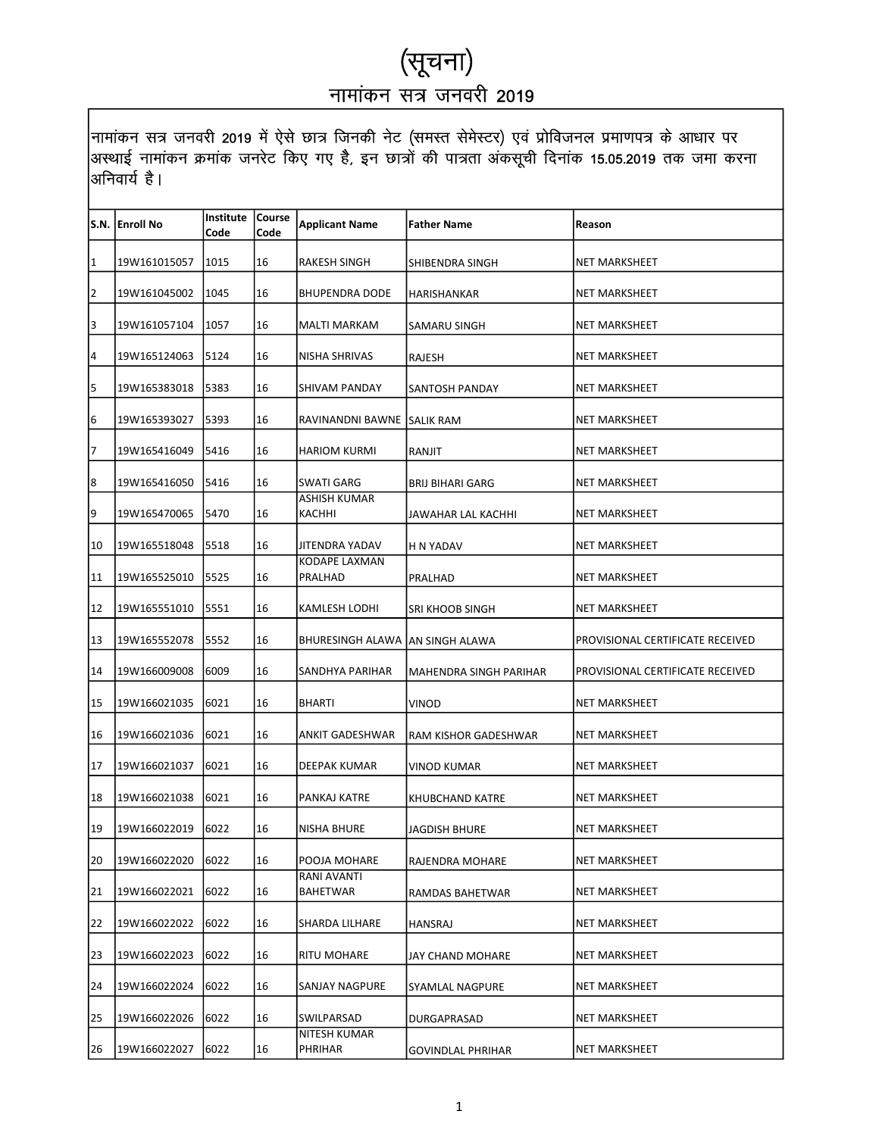|    | S.N.  Enroll No | <b>Institute Course</b><br>Code | Code | <b>Applicant Name</b>            | <b>Father Name</b>       | Reason                           |
|----|-----------------|---------------------------------|------|----------------------------------|--------------------------|----------------------------------|
| 1  | 19W161015057    | 1015                            | 16   | RAKESH SINGH                     | SHIBENDRA SINGH          | NET MARKSHEET                    |
| 2  | 19W161045002    | 1045                            | 16   | <b>BHUPENDRA DODE</b>            | HARISHANKAR              | NET MARKSHEET                    |
| 3  | 19W161057104    | 1057                            | 16   | MALTI MARKAM                     | SAMARU SINGH             | NET MARKSHEET                    |
| 4  | 19W165124063    | 5124                            | 16   | NISHA SHRIVAS                    | RAJESH                   | NET MARKSHEET                    |
| 5  | 19W165383018    | 5383                            | 16   | SHIVAM PANDAY                    | <b>SANTOSH PANDAY</b>    | <b>NET MARKSHEET</b>             |
| 6  | 19W165393027    | 5393                            | 16   | RAVINANDNI BAWNE SALIK RAM       |                          | <b>NET MARKSHEET</b>             |
| 17 | 19W165416049    | 5416                            | 16   | <b>HARIOM KURMI</b>              | RANJIT                   | NET MARKSHEET                    |
| 8  | 19W165416050    | 5416                            | 16   | SWATI GARG                       | <b>BRIJ BIHARI GARG</b>  | NET MARKSHEET                    |
| 9  | 19W165470065    | 5470                            | 16   | ASHISH KUMAR<br>KACHHI           | JAWAHAR LAL KACHHI       | NET MARKSHEET                    |
| 10 | 19W165518048    | 5518                            | 16   | JITENDRA YADAV                   | H N YADAV                | NET MARKSHEET                    |
| 11 | 19W165525010    | 5525                            | 16   | KODAPE LAXMAN<br>PRALHAD         | PRALHAD                  | NET MARKSHEET                    |
| 12 | 19W165551010    | 5551                            | 16   | KAMLESH LODHI                    | <b>SRI KHOOB SINGH</b>   | <b>NET MARKSHEET</b>             |
| 13 | 19W165552078    | 5552                            | 16   | BHURESINGH ALAWA JAN SINGH ALAWA |                          | PROVISIONAL CERTIFICATE RECEIVED |
| 14 | 19W166009008    | 6009                            | 16   | SANDHYA PARIHAR                  | MAHENDRA SINGH PARIHAR   | PROVISIONAL CERTIFICATE RECEIVED |
| 15 | 19W166021035    | 6021                            | 16   | BHARTI                           | <b>VINOD</b>             | NET MARKSHEET                    |
| 16 | 19W166021036    | 6021                            | 16   | ANKIT GADESHWAR                  | RAM KISHOR GADESHWAR     | NET MARKSHEET                    |
| 17 | 19W166021037    | 6021                            | 16   | DEEPAK KUMAR                     | <b>VINOD KUMAR</b>       | <b>NET MARKSHEET</b>             |
| 18 | 19W166021038    | 6021                            | 16   | PANKAJ KATRE                     | KHUBCHAND KATRE          | <b>NET MARKSHEET</b>             |
| 19 | 19W166022019    | 6022                            | 16   | NISHA BHURE                      | <b>JAGDISH BHURE</b>     | <b>NET MARKSHEET</b>             |
| 20 | 19W166022020    | 6022                            | 16   | POOJA MOHARE                     | RAJENDRA MOHARE          | <b>NET MARKSHEET</b>             |
| 21 | 19W166022021    | 6022                            | 16   | RANI AVANTI<br>BAHETWAR          | RAMDAS BAHETWAR          | NET MARKSHEET                    |
| 22 | 19W166022022    | 6022                            | 16   | SHARDA LILHARE                   | <b>HANSRAJ</b>           | NET MARKSHEET                    |
| 23 | 19W166022023    | 6022                            | 16   | RITU MOHARE                      | JAY CHAND MOHARE         | NET MARKSHEET                    |
| 24 | 19W166022024    | 6022                            | 16   | SANJAY NAGPURE                   | <b>SYAMLAL NAGPURE</b>   | NET MARKSHEET                    |
| 25 | 19W166022026    | 6022                            | 16   | SWILPARSAD                       | DURGAPRASAD              | NET MARKSHEET                    |
| 26 | 19W166022027    | 6022                            | 16   | NITESH KUMAR<br>PHRIHAR          | <b>GOVINDLAL PHRIHAR</b> | NET MARKSHEET                    |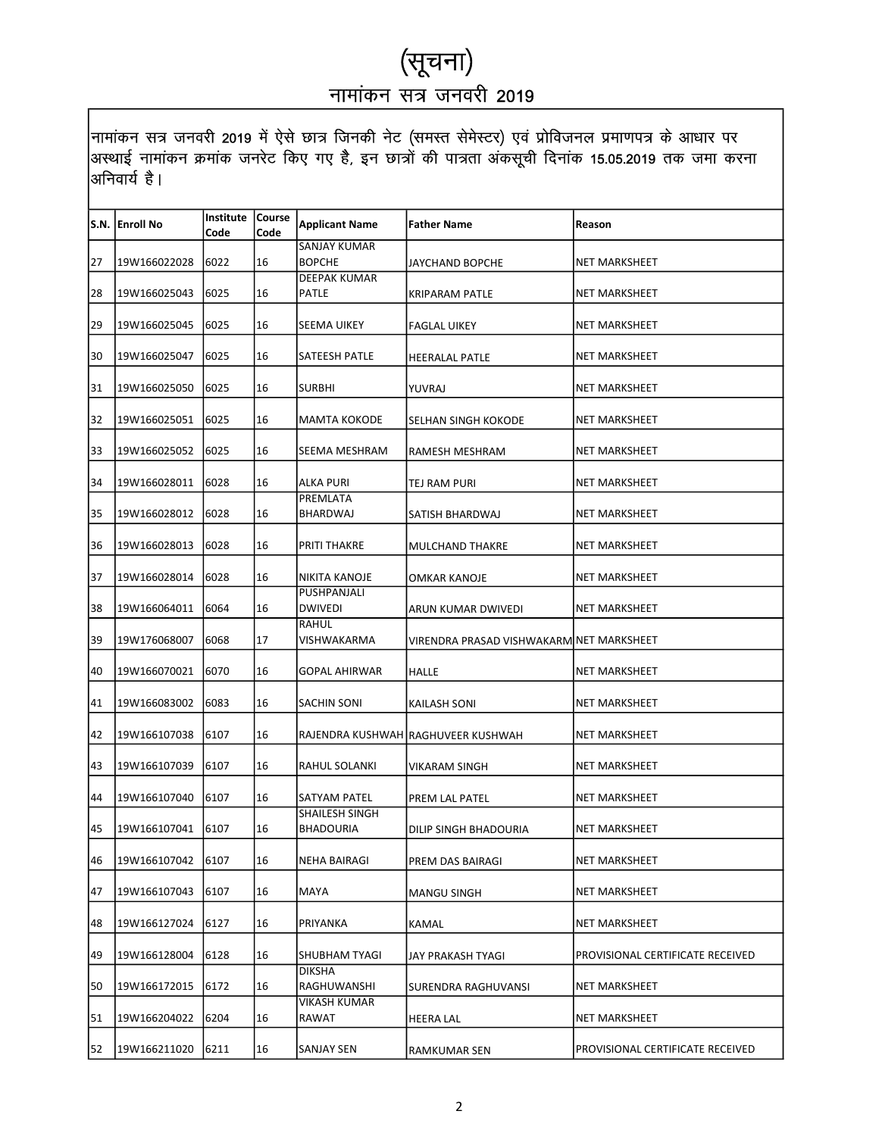|    | S.N. Enroll No | <b>Institute Course</b><br>Code | Code | <b>Applicant Name</b>               | <b>Father Name</b>                       | Reason                           |
|----|----------------|---------------------------------|------|-------------------------------------|------------------------------------------|----------------------------------|
|    |                |                                 |      | SANJAY KUMAR                        |                                          |                                  |
| 27 | 19W166022028   | 6022                            | 16   | <b>BOPCHE</b>                       | <b>JAYCHAND BOPCHE</b>                   | NET MARKSHEET                    |
| 28 | 19W166025043   | 6025                            | 16   | <b>DEEPAK KUMAR</b><br><b>PATLE</b> | <b>KRIPARAM PATLE</b>                    | <b>NET MARKSHEET</b>             |
|    |                | 6025                            | 16   |                                     |                                          | <b>NET MARKSHEET</b>             |
| 29 | 19W166025045   |                                 |      | SEEMA UIKEY                         | <b>FAGLAL UIKEY</b>                      |                                  |
| 30 | 19W166025047   | 6025                            | 16   | <b>SATEESH PATLE</b>                | <b>HEERALAL PATLE</b>                    | NET MARKSHEET                    |
| 31 | 19W166025050   | 6025                            | 16   | <b>SURBHI</b>                       | YUVRAJ                                   | NET MARKSHEET                    |
| 32 | 19W166025051   | 6025                            | 16   | MAMTA KOKODE                        | SELHAN SINGH KOKODE                      | NET MARKSHEET                    |
| 33 | 19W166025052   | 6025                            | 16   | SEEMA MESHRAM                       | RAMESH MESHRAM                           | <b>NET MARKSHEET</b>             |
| 34 | 19W166028011   | 6028                            | 16   | ALKA PURI                           | TEJ RAM PURI                             | <b>NET MARKSHEET</b>             |
| 35 | 19W166028012   | 6028                            | 16   | PREMLATA<br>BHARDWAJ                | SATISH BHARDWAJ                          | NET MARKSHEET                    |
| 36 | 19W166028013   | 6028                            | 16   | <b>PRITI THAKRE</b>                 | MULCHAND THAKRE                          | <b>NET MARKSHEET</b>             |
| 37 | 19W166028014   | 6028                            | 16   | NIKITA KANOJE                       | OMKAR KANOJE                             | <b>NET MARKSHEET</b>             |
| 38 | 19W166064011   | 6064                            | 16   | PUSHPANJALI<br><b>DWIVEDI</b>       | ARUN KUMAR DWIVEDI                       | NET MARKSHEET                    |
| 39 | 19W176068007   | 6068                            | 17   | RAHUL<br>VISHWAKARMA                | VIRENDRA PRASAD VISHWAKARMINET MARKSHEET |                                  |
| 40 | 19W166070021   | 6070                            | 16   | <b>GOPAL AHIRWAR</b>                | <b>HALLE</b>                             | <b>NET MARKSHEET</b>             |
| 41 | 19W166083002   | 6083                            | 16   | SACHIN SONI                         | KAILASH SONI                             | <b>NET MARKSHEET</b>             |
| 42 | 19W166107038   | 6107                            | 16   |                                     | RAJENDRA KUSHWAH RAGHUVEER KUSHWAH       | NET MARKSHEET                    |
| 43 | 19W166107039   | 6107                            | 16   | RAHUL SOLANKI                       | <b>VIKARAM SINGH</b>                     | NET MARKSHEET                    |
| 44 | 19W166107040   | 6107                            | 16   | SATYAM PATEL                        | PREM LAL PATEL                           | <b>NET MARKSHEET</b>             |
| 45 | 19W166107041   | 6107                            | 16   | SHAILESH SINGH<br><b>BHADOURIA</b>  | DILIP SINGH BHADOURIA                    | <b>NET MARKSHEET</b>             |
| 46 | 19W166107042   | 6107                            | 16   | NEHA BAIRAGI                        | PREM DAS BAIRAGI                         | NET MARKSHEET                    |
| 47 | 19W166107043   | 6107                            | 16   | MAYA                                | <b>MANGU SINGH</b>                       | <b>NET MARKSHEET</b>             |
| 48 | 19W166127024   | 6127                            | 16   | PRIYANKA                            | KAMAL                                    | <b>NET MARKSHEET</b>             |
| 49 | 19W166128004   | 6128                            | 16   | SHUBHAM TYAGI                       | JAY PRAKASH TYAGI                        | PROVISIONAL CERTIFICATE RECEIVED |
| 50 | 19W166172015   | 6172                            | 16   | <b>DIKSHA</b><br>RAGHUWANSHI        | SURENDRA RAGHUVANSI                      | NET MARKSHEET                    |
| 51 | 19W166204022   | 6204                            | 16   | <b>VIKASH KUMAR</b><br>RAWAT        | <b>HEERA LAL</b>                         | NET MARKSHEET                    |
| 52 | 19W166211020   | 6211                            | 16   | SANJAY SEN                          | RAMKUMAR SEN                             | PROVISIONAL CERTIFICATE RECEIVED |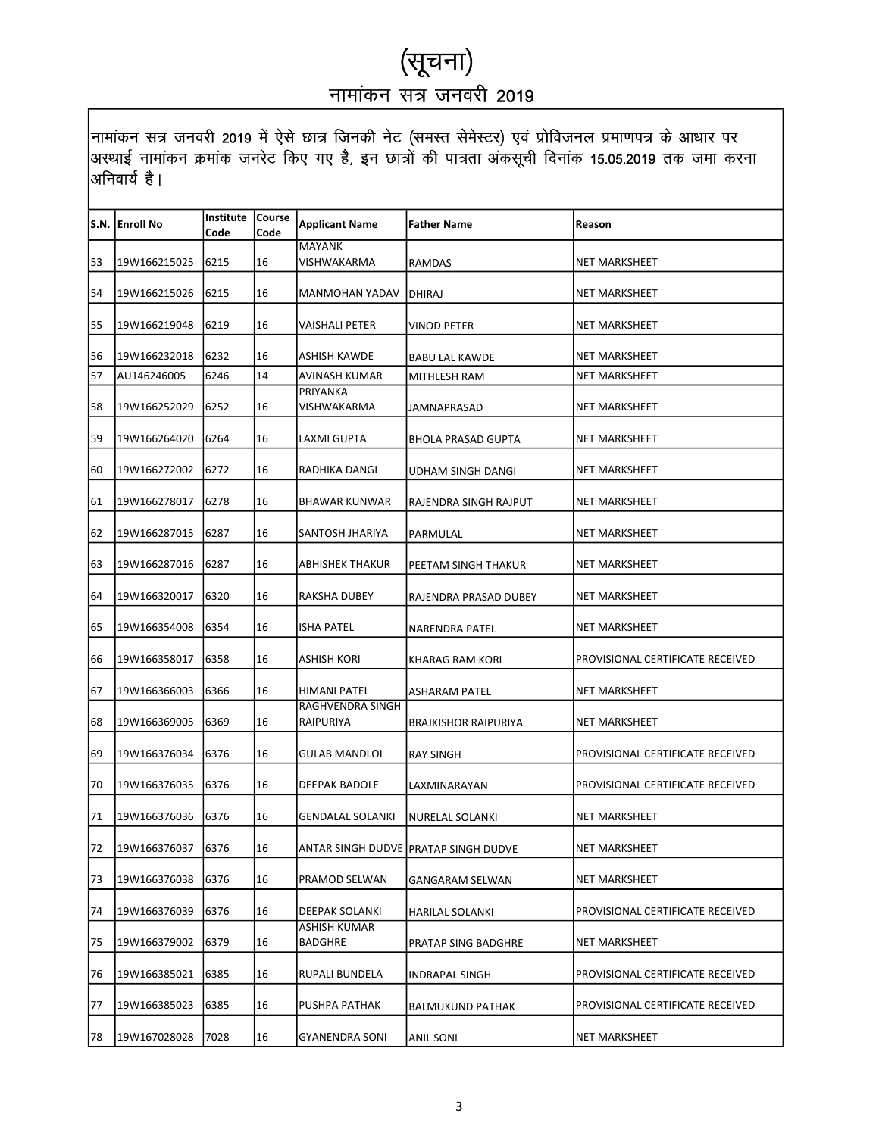|            | S.N. Enroll No | <b>Institute Course</b><br>Code | Code | <b>Applicant Name</b>                | <b>Father Name</b>                   | Reason                           |
|------------|----------------|---------------------------------|------|--------------------------------------|--------------------------------------|----------------------------------|
|            |                |                                 |      | <b>MAYANK</b>                        |                                      |                                  |
| 53         | 19W166215025   | 6215                            | 16   | VISHWAKARMA                          | RAMDAS                               | NET MARKSHEET                    |
| 54         | 19W166215026   | 6215                            | 16   | <b>MANMOHAN YADAV</b>                | DHIRAJ                               | <b>NET MARKSHEET</b>             |
| 55         | 19W166219048   | 6219                            | 16   | VAISHALI PETER                       | VINOD PETER                          | NET MARKSHEET                    |
| 56         | 19W166232018   | 6232                            | 16   | <b>ASHISH KAWDE</b>                  | <b>BABU LAL KAWDE</b>                | NET MARKSHEET                    |
| 57         | AU146246005    | 6246                            | 14   | AVINASH KUMAR                        | <b>MITHLESH RAM</b>                  | NET MARKSHEET                    |
| 58         | 19W166252029   | 6252                            | 16   | PRIYANKA<br>VISHWAKARMA              | JAMNAPRASAD                          | NET MARKSHEET                    |
| 59         | 19W166264020   | 6264                            | 16   | LAXMI GUPTA                          | <b>BHOLA PRASAD GUPTA</b>            | <b>NET MARKSHEET</b>             |
| 60         | 19W166272002   | 6272                            | 16   | RADHIKA DANGI                        | UDHAM SINGH DANGI                    | NET MARKSHEET                    |
| 61         | 19W166278017   | 6278                            | 16   | BHAWAR KUNWAR                        | RAJENDRA SINGH RAJPUT                | <b>NET MARKSHEET</b>             |
| 62         | 19W166287015   | 6287                            | 16   | SANTOSH JHARIYA                      | PARMULAL                             | <b>NET MARKSHEET</b>             |
| 63         | 19W166287016   | 6287                            | 16   | <b>ABHISHEK THAKUR</b>               | PEETAM SINGH THAKUR                  | NET MARKSHEET                    |
| 64         | 19W166320017   | 6320                            | 16   | <b>RAKSHA DUBEY</b>                  | RAJENDRA PRASAD DUBEY                | NET MARKSHEET                    |
| 65         | 19W166354008   | 6354                            | 16   | <b>ISHA PATEL</b>                    | <b>NARENDRA PATEL</b>                | <b>NET MARKSHEET</b>             |
| 66         | 19W166358017   | 6358                            | 16   | ASHISH KORI                          | KHARAG RAM KORI                      | PROVISIONAL CERTIFICATE RECEIVED |
| 67         | 19W166366003   | 6366                            | 16   | <b>HIMANI PATEL</b>                  | ASHARAM PATEL                        | <b>NET MARKSHEET</b>             |
| 68         | 19W166369005   | 6369                            | 16   | RAGHVENDRA SINGH<br><b>RAIPURIYA</b> | <b>BRAJKISHOR RAIPURIYA</b>          | NET MARKSHEET                    |
| 69         | 19W166376034   | 6376                            | 16   | GULAB MANDLOI                        | <b>RAY SINGH</b>                     | PROVISIONAL CERTIFICATE RECEIVED |
| 70         | 19W166376035   | 6376                            | 16   | <b>DEEPAK BADOLE</b>                 | LAXMINARAYAN                         | PROVISIONAL CERTIFICATE RECEIVED |
| 71         | 19W166376036   | 6376                            | 16   | <b>GENDALAL SOLANKI</b>              | NURELAL SOLANKI                      | NET MARKSHEET                    |
| $\sqrt{2}$ | 19W166376037   | 6376                            | 16   |                                      | ANTAR SINGH DUDVE PRATAP SINGH DUDVE | NEI MARKSHEEI                    |
| 73         | 19W166376038   | 6376                            | 16   | PRAMOD SELWAN                        | <b>GANGARAM SELWAN</b>               | NET MARKSHEET                    |
| 74         | 19W166376039   | 6376                            | 16   | DEEPAK SOLANKI                       | <b>HARILAL SOLANKI</b>               | PROVISIONAL CERTIFICATE RECEIVED |
| 75         | 19W166379002   | 6379                            | 16   | ASHISH KUMAR<br><b>BADGHRE</b>       | PRATAP SING BADGHRE                  | NET MARKSHEET                    |
| 76         | 19W166385021   | 6385                            | 16   | RUPALI BUNDELA                       | INDRAPAL SINGH                       | PROVISIONAL CERTIFICATE RECEIVED |
| 77         | 19W166385023   | 6385                            | 16   | PUSHPA PATHAK                        | <b>BALMUKUND PATHAK</b>              | PROVISIONAL CERTIFICATE RECEIVED |
| 78         | 19W167028028   | 7028                            | 16   | <b>GYANENDRA SONI</b>                | ANIL SONI                            | <b>NET MARKSHEET</b>             |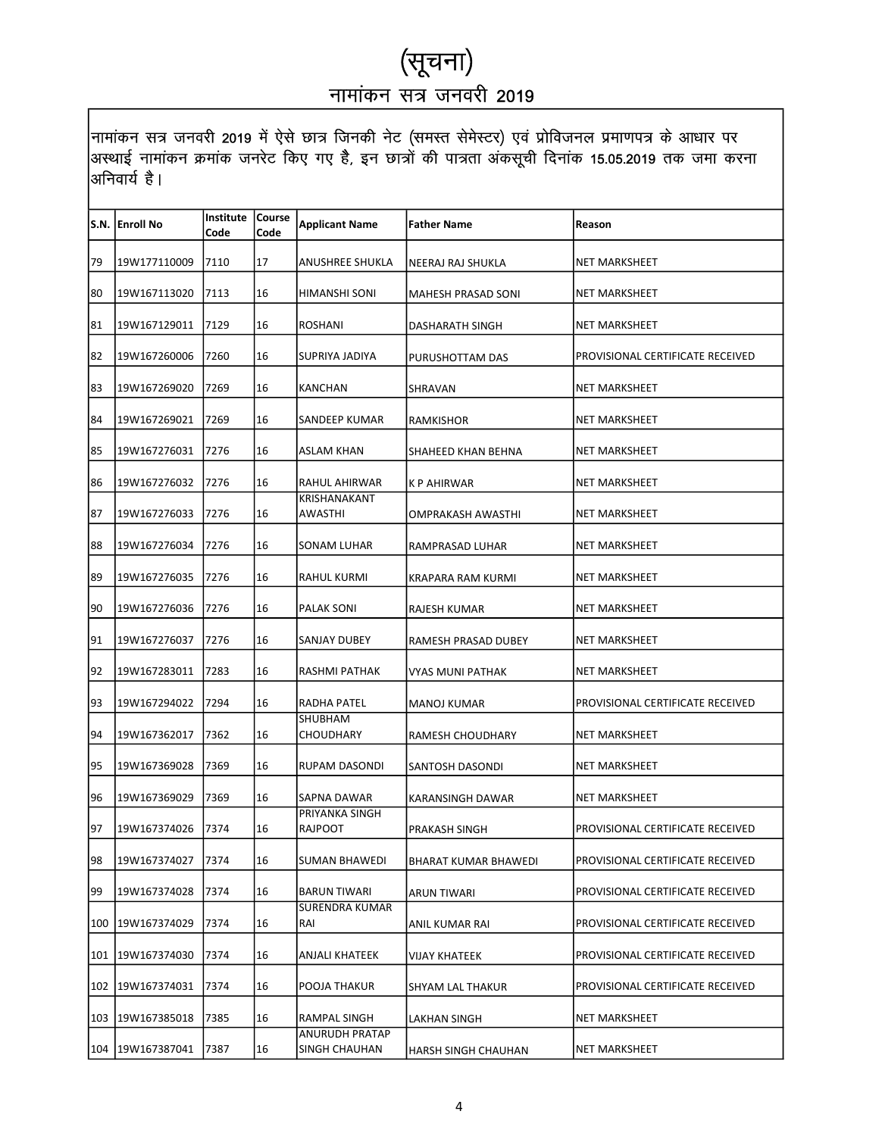|     | S.N. Enroll No   | Institute   Course<br>Code | Code | <b>Applicant Name</b>                  | <b>Father Name</b>          | Reason                           |
|-----|------------------|----------------------------|------|----------------------------------------|-----------------------------|----------------------------------|
| 79  | 19W177110009     | 7110                       | 17   | ANUSHREE SHUKLA                        | NEERAJ RAJ SHUKLA           | NET MARKSHEET                    |
| 80  | 19W167113020     | 7113                       | 16   | HIMANSHI SONI                          | <b>MAHESH PRASAD SONI</b>   | <b>NET MARKSHEET</b>             |
| 81  | 19W167129011     | 7129                       | 16   | <b>ROSHANI</b>                         | DASHARATH SINGH             | <b>NET MARKSHEET</b>             |
| 82  | 19W167260006     | 7260                       | 16   | SUPRIYA JADIYA                         | PURUSHOTTAM DAS             | PROVISIONAL CERTIFICATE RECEIVED |
| 83  | 19W167269020     | 7269                       | 16   | <b>KANCHAN</b>                         | SHRAVAN                     | <b>NET MARKSHEET</b>             |
| 84  | 19W167269021     | 7269                       | 16   | SANDEEP KUMAR                          | RAMKISHOR                   | <b>NET MARKSHEET</b>             |
| 85  | 19W167276031     | 7276                       | 16   | ASLAM KHAN                             | SHAHEED KHAN BEHNA          | NET MARKSHEET                    |
| 86  | 19W167276032     | 7276                       | 16   | RAHUL AHIRWAR                          | <b>KP AHIRWAR</b>           | <b>NET MARKSHEET</b>             |
| 87  | 19W167276033     | 7276                       | 16   | <b>KRISHANAKANT</b><br>AWASTHI         | OMPRAKASH AWASTHI           | NET MARKSHEET                    |
| 88  | 19W167276034     | 7276                       | 16   | SONAM LUHAR                            | RAMPRASAD LUHAR             | NET MARKSHEET                    |
| 89  | 19W167276035     | 7276                       | 16   | RAHUL KURMI                            | KRAPARA RAM KURMI           | <b>NET MARKSHEET</b>             |
| 90  | 19W167276036     | 7276                       | 16   | PALAK SONI                             | RAJESH KUMAR                | NET MARKSHEET                    |
| 91  | 19W167276037     | 7276                       | 16   | SANJAY DUBEY                           | RAMESH PRASAD DUBEY         | <b>NET MARKSHEET</b>             |
| 92  | 19W167283011     | 7283                       | 16   | RASHMI PATHAK                          | VYAS MUNI PATHAK            | <b>NET MARKSHEET</b>             |
| 93  | 19W167294022     | 7294                       | 16   | <b>RADHA PATEL</b>                     | <b>MANOJ KUMAR</b>          | PROVISIONAL CERTIFICATE RECEIVED |
| 94  | 19W167362017     | 7362                       | 16   | SHUBHAM<br>CHOUDHARY                   | RAMESH CHOUDHARY            | NET MARKSHEET                    |
| 95  | 19W167369028     | 7369                       | 16   | RUPAM DASONDI                          | SANTOSH DASONDI             | NET MARKSHEET                    |
| 96  | 19W167369029     | 7369                       | 16   | SAPNA DAWAR                            | KARANSINGH DAWAR            | NET MARKSHEET                    |
| 97  | 19W167374026     | 7374                       | 16   | PRIYANKA SINGH<br><b>RAJPOOT</b>       | PRAKASH SINGH               | PROVISIONAL CERTIFICATE RECEIVED |
| 98  | 19W167374027     | 7374                       | 16   | SUMAN BHAWEDI                          | <b>BHARAT KUMAR BHAWEDI</b> | PROVISIONAL CERTIFICATE RECEIVED |
| 99  | 19W167374028     | 7374                       | 16   | <b>BARUN TIWARI</b>                    | <b>ARUN TIWARI</b>          | PROVISIONAL CERTIFICATE RECEIVED |
| 100 | 19W167374029     | 7374                       | 16   | <b>SURENDRA KUMAR</b><br>RAI           | ANIL KUMAR RAI              | PROVISIONAL CERTIFICATE RECEIVED |
| 101 | 19W167374030     | 7374                       | 16   | <b>ANJALI KHATEEK</b>                  | <b>VIJAY KHATEEK</b>        | PROVISIONAL CERTIFICATE RECEIVED |
| 102 | 19W167374031     | 7374                       | 16   | POOJA THAKUR                           | SHYAM LAL THAKUR            | PROVISIONAL CERTIFICATE RECEIVED |
| 103 | 19W167385018     | 7385                       | 16   | RAMPAL SINGH                           | LAKHAN SINGH                | NET MARKSHEET                    |
|     | 104 19W167387041 | 7387                       | 16   | <b>ANURUDH PRATAP</b><br>SINGH CHAUHAN | HARSH SINGH CHAUHAN         | NET MARKSHEET                    |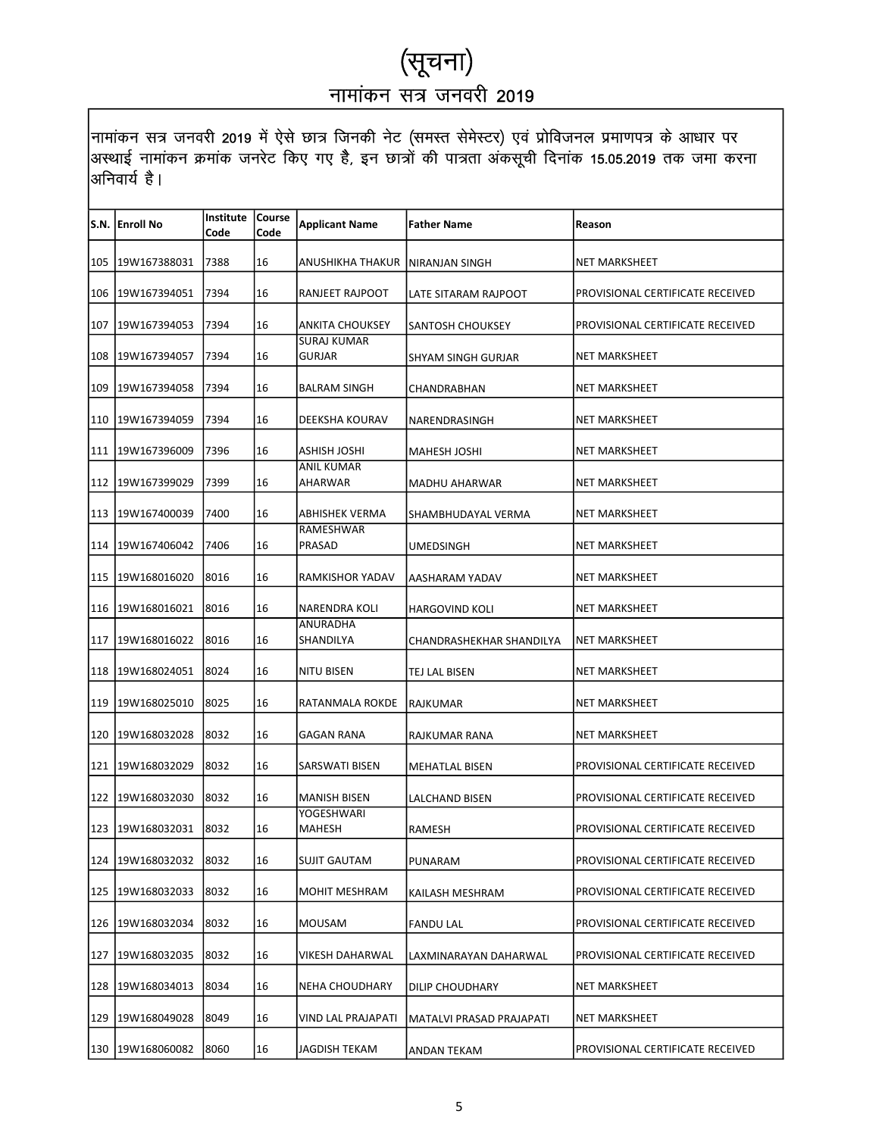|     | S.N. Enroll No   | Institute   Course |      |                                     | <b>Father Name</b>       |                                  |
|-----|------------------|--------------------|------|-------------------------------------|--------------------------|----------------------------------|
|     |                  | Code               | Code | <b>Applicant Name</b>               |                          | Reason                           |
| 105 | 19W167388031     | 7388               | 16   | ANUSHIKHA THAKUR                    | NIRANJAN SINGH           | <b>NET MARKSHEET</b>             |
| 106 | 19W167394051     | 7394               | 16   | RANJEET RAJPOOT                     | LATE SITARAM RAJPOOT     | PROVISIONAL CERTIFICATE RECEIVED |
| 107 | 19W167394053     | 7394               | 16   | <b>ANKITA CHOUKSEY</b>              | SANTOSH CHOUKSEY         | PROVISIONAL CERTIFICATE RECEIVED |
| 108 | 19W167394057     | 7394               | 16   | <b>SURAJ KUMAR</b><br><b>GURJAR</b> | SHYAM SINGH GURJAR       | <b>NET MARKSHEET</b>             |
| 109 | 19W167394058     | 7394               | 16   | <b>BALRAM SINGH</b>                 | CHANDRABHAN              | <b>NET MARKSHEET</b>             |
|     | 110 19W167394059 | 7394               | 16   | DEEKSHA KOURAV                      | NARENDRASINGH            | NET MARKSHEET                    |
|     | 111 19W167396009 | 7396               | 16   | ASHISH JOSHI                        | MAHESH JOSHI             | <b>NET MARKSHEET</b>             |
| 112 | 19W167399029     | 7399               | 16   | <b>ANIL KUMAR</b><br>AHARWAR        | <b>MADHU AHARWAR</b>     | <b>NET MARKSHEET</b>             |
|     | 113 19W167400039 | 7400               | 16   | ABHISHEK VERMA                      | SHAMBHUDAYAL VERMA       | NET MARKSHEET                    |
|     | 114 19W167406042 | 7406               | 16   | RAMESHWAR<br>PRASAD                 | <b>UMEDSINGH</b>         | <b>NET MARKSHEET</b>             |
| 115 | 19W168016020     | 8016               | 16   | RAMKISHOR YADAV                     | AASHARAM YADAV           | <b>NET MARKSHEET</b>             |
|     | 116 19W168016021 | 8016               | 16   | <b>NARENDRA KOLI</b>                | <b>HARGOVIND KOLI</b>    | <b>NET MARKSHEET</b>             |
|     | 117 19W168016022 | 8016               | 16   | ANURADHA<br>SHANDILYA               | CHANDRASHEKHAR SHANDILYA | <b>NET MARKSHEET</b>             |
| 118 | 19W168024051     | 8024               | 16   | <b>NITU BISEN</b>                   | TEJ LAL BISEN            | <b>NET MARKSHEET</b>             |
| 119 | 19W168025010     | 8025               | 16   | RATANMALA ROKDE                     | RAJKUMAR                 | <b>NET MARKSHEET</b>             |
| 120 | 19W168032028     | 8032               | 16   | GAGAN RANA                          | RAJKUMAR RANA            | <b>NET MARKSHEET</b>             |
| 121 | 19W168032029     | 8032               | 16   | <b>SARSWATI BISEN</b>               | <b>MEHATLAL BISEN</b>    | PROVISIONAL CERTIFICATE RECEIVED |
| 122 | 19W168032030     | 8032               | 16   | <b>MANISH BISEN</b>                 | <b>LALCHAND BISEN</b>    | PROVISIONAL CERTIFICATE RECEIVED |
|     | 123 19W168032031 | 8032               | 16   | YOGESHWARI<br><b>MAHESH</b>         | RAMESH                   | PROVISIONAL CERTIFICATE RECEIVED |
|     | 124 19W168032032 | 8032               | 16   | <b>SUJIT GAUTAM</b>                 | PUNARAM                  | PROVISIONAL CERTIFICATE RECEIVED |
| 125 | 19W168032033     | 8032               | 16   | MOHIT MESHRAM                       | KAILASH MESHRAM          | PROVISIONAL CERTIFICATE RECEIVED |
| 126 | 19W168032034     | 8032               | 16   | MOUSAM                              | <b>FANDU LAL</b>         | PROVISIONAL CERTIFICATE RECEIVED |
| 127 | 19W168032035     | 8032               | 16   | VIKESH DAHARWAL                     | LAXMINARAYAN DAHARWAL    | PROVISIONAL CERTIFICATE RECEIVED |
| 128 | 19W168034013     | 8034               | 16   | <b>NEHA CHOUDHARY</b>               | DILIP CHOUDHARY          | NET MARKSHEET                    |
| 129 | 19W168049028     | 8049               | 16   | VIND LAL PRAJAPATI                  | MATALVI PRASAD PRAJAPATI | NET MARKSHEET                    |
| 130 | 19W168060082     | 8060               | 16   | JAGDISH TEKAM                       | ANDAN TEKAM              | PROVISIONAL CERTIFICATE RECEIVED |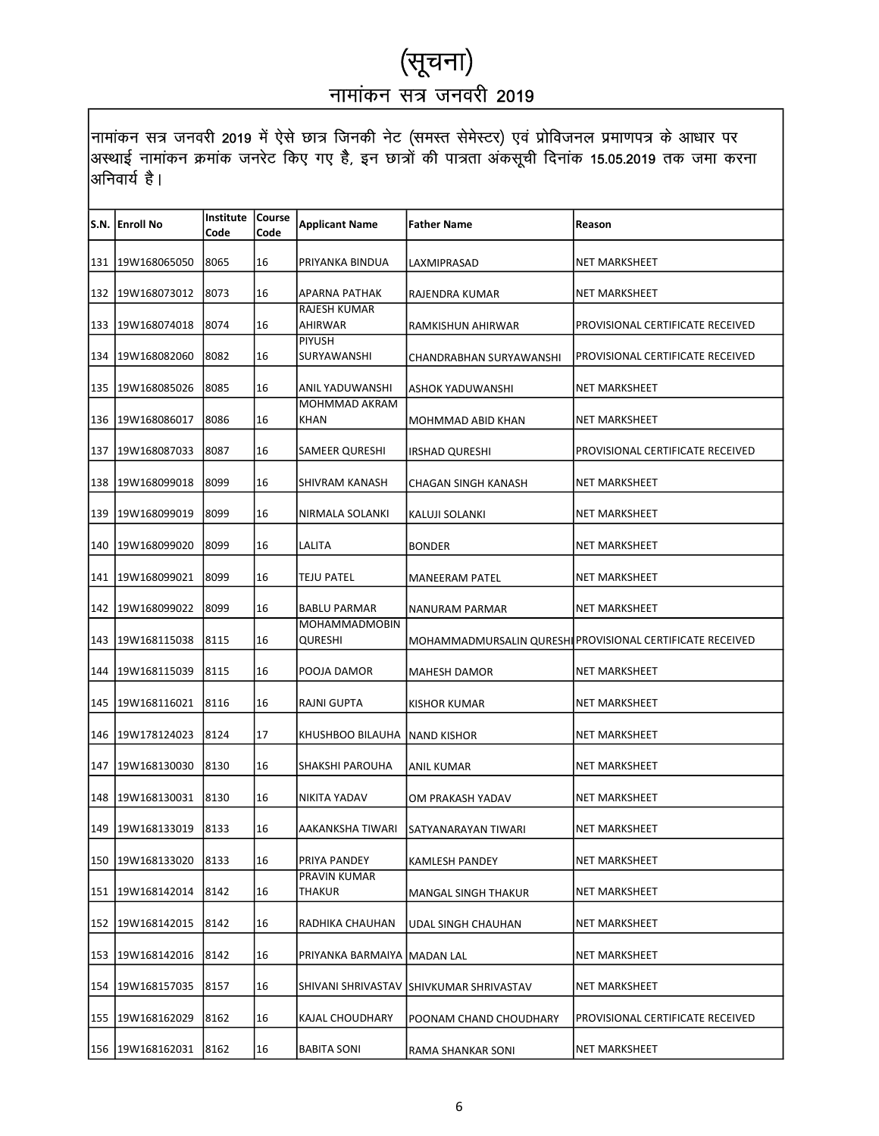|     | S.N. Enroll No    | <b>Institute Course</b><br>Code | Code | <b>Applicant Name</b>          | <b>Father Name</b>                      | Reason                                                    |
|-----|-------------------|---------------------------------|------|--------------------------------|-----------------------------------------|-----------------------------------------------------------|
|     | 131 19W168065050  | 8065                            | 16   | PRIYANKA BINDUA                | LAXMIPRASAD                             | <b>NET MARKSHEET</b>                                      |
| 132 | 19W168073012      | 8073                            | 16   | APARNA PATHAK                  | RAJENDRA KUMAR                          | <b>NET MARKSHEET</b>                                      |
| 133 | 19W168074018      | 8074                            | 16   | <b>RAJESH KUMAR</b><br>AHIRWAR | RAMKISHUN AHIRWAR                       | PROVISIONAL CERTIFICATE RECEIVED                          |
| 134 | 19W168082060      | 8082                            | 16   | <b>PIYUSH</b><br>SURYAWANSHI   | CHANDRABHAN SURYAWANSHI                 | PROVISIONAL CERTIFICATE RECEIVED                          |
| 135 | 19W168085026      | 8085                            | 16   | ANIL YADUWANSHI                | ASHOK YADUWANSHI                        | <b>NET MARKSHEET</b>                                      |
| 136 | 19W168086017      | 8086                            | 16   | MOHMMAD AKRAM<br>KHAN          | MOHMMAD ABID KHAN                       | NET MARKSHEET                                             |
|     | 137 19W168087033  | 8087                            | 16   | SAMEER QURESHI                 | <b>IRSHAD QURESHI</b>                   | PROVISIONAL CERTIFICATE RECEIVED                          |
| 138 | 19W168099018      | 8099                            | 16   | SHIVRAM KANASH                 | CHAGAN SINGH KANASH                     | <b>NET MARKSHEET</b>                                      |
| 139 | 19W168099019      | 8099                            | 16   | NIRMALA SOLANKI                | KALUJI SOLANKI                          | NET MARKSHEET                                             |
| 140 | 19W168099020      | 8099                            | 16   | LALITA                         | <b>BONDER</b>                           | NET MARKSHEET                                             |
|     | 141 19W168099021  | 8099                            | 16   | <b>TEJU PATEL</b>              | <b>MANEERAM PATEL</b>                   | <b>NET MARKSHEET</b>                                      |
| 142 | 19W168099022      | 8099                            | 16   | <b>BABLU PARMAR</b>            | NANURAM PARMAR                          | <b>NET MARKSHEET</b>                                      |
| 143 | 19W168115038      | 8115                            | 16   | MOHAMMADMOBIN<br>QURESHI       |                                         | MOHAMMADMURSALIN QURESHI PROVISIONAL CERTIFICATE RECEIVED |
| 144 | 19W168115039      | 8115                            | 16   | POOJA DAMOR                    | <b>MAHESH DAMOR</b>                     | <b>NET MARKSHEET</b>                                      |
| 145 | 19W168116021      | 8116                            | 16   | RAJNI GUPTA                    | KISHOR KUMAR                            | <b>NET MARKSHEET</b>                                      |
| 146 | 19W178124023      | 8124                            | 17   | KHUSHBOO BILAUHA               | <b>NAND KISHOR</b>                      | NET MARKSHEET                                             |
| 147 | 19W168130030      | 8130                            | 16   | <b>SHAKSHI PAROUHA</b>         | ANIL KUMAR                              | <b>NET MARKSHEET</b>                                      |
|     | 148 19W168130031  | 8130                            | 16   | <b>NIKITA YADAV</b>            | OM PRAKASH YADAV                        | <b>NET MARKSHEET</b>                                      |
|     | 149 19W168133019  | 8133                            | 16   | AAKANKSHA TIWARI               | SATYANARAYAN TIWARI                     | NET MARKSHEET                                             |
|     | 150 19W168133020  | 8133                            | 16   | PRIYA PANDEY                   | <b>KAMLESH PANDEY</b>                   | <b>NET MARKSHEET</b>                                      |
|     | 151 19W168142014  | 8142                            | 16   | PRAVIN KUMAR<br>THAKUR         | MANGAL SINGH THAKUR                     | NET MARKSHEET                                             |
|     | 152 19W168142015  | 8142                            | 16   | RADHIKA CHAUHAN                | UDAL SINGH CHAUHAN                      | NET MARKSHEET                                             |
| 153 | 19W168142016      | 8142                            | 16   | PRIYANKA BARMAIYA   MADAN LAL  |                                         | NET MARKSHEET                                             |
| 154 | 19W168157035      | 8157                            | 16   |                                | SHIVANI SHRIVASTAV SHIVKUMAR SHRIVASTAV | NET MARKSHEET                                             |
|     | 155  19W168162029 | 8162                            | 16   | KAJAL CHOUDHARY                | POONAM CHAND CHOUDHARY                  | PROVISIONAL CERTIFICATE RECEIVED                          |
|     | 156 19W168162031  | 8162                            | 16   | <b>BABITA SONI</b>             | RAMA SHANKAR SONI                       | NET MARKSHEET                                             |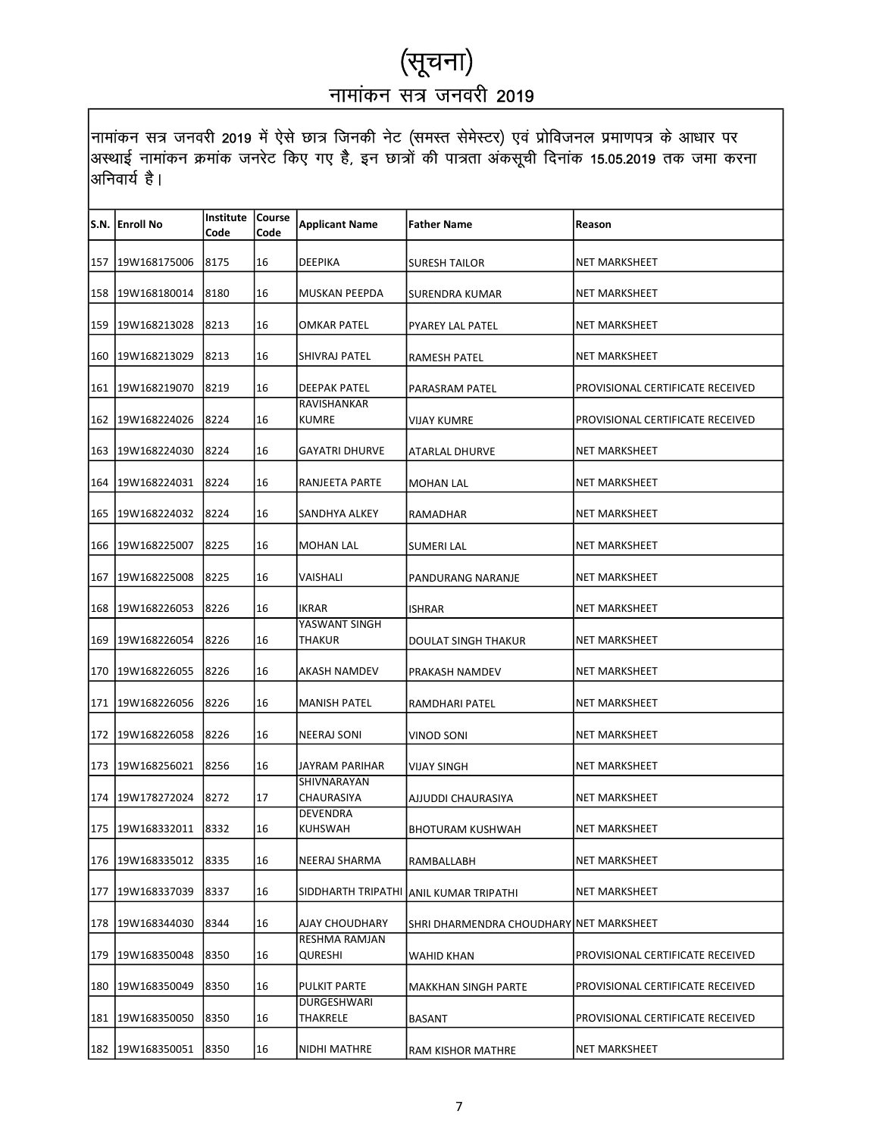|     | S.N.  Enroll No  | Institute   Course<br>Code | Code | <b>Applicant Name</b>             | <b>Father Name</b>                      | Reason                           |
|-----|------------------|----------------------------|------|-----------------------------------|-----------------------------------------|----------------------------------|
|     | 157 19W168175006 | 8175                       | 16   | DEEPIKA                           | <b>SURESH TAILOR</b>                    | NET MARKSHEET                    |
| 158 | 19W168180014     | 8180                       | 16   | MUSKAN PEEPDA                     | SURENDRA KUMAR                          | NET MARKSHEET                    |
| 159 | 19W168213028     | 8213                       | 16   | OMKAR PATEL                       | PYAREY LAL PATEL                        | NET MARKSHEET                    |
|     | 160 19W168213029 | 8213                       | 16   | SHIVRAJ PATEL                     | RAMESH PATEL                            | NET MARKSHEET                    |
|     | 161 19W168219070 | 8219                       | 16   | <b>DEEPAK PATEL</b>               | PARASRAM PATEL                          | PROVISIONAL CERTIFICATE RECEIVED |
|     | 162 19W168224026 | 8224                       | 16   | RAVISHANKAR<br><b>KUMRE</b>       | VIJAY KUMRE                             | PROVISIONAL CERTIFICATE RECEIVED |
|     | 163 19W168224030 | 8224                       | 16   | GAYATRI DHURVE                    | ATARLAL DHURVE                          | NET MARKSHEET                    |
|     | 164 19W168224031 | 8224                       | 16   | RANJEETA PARTE                    | <b>MOHAN LAL</b>                        | NET MARKSHEET                    |
| 165 | 19W168224032     | 8224                       | 16   | SANDHYA ALKEY                     | RAMADHAR                                | NET MARKSHEET                    |
| 166 | 19W168225007     | 8225                       | 16   | <b>MOHAN LAL</b>                  | <b>SUMERI LAL</b>                       | NET MARKSHEET                    |
|     | 167 19W168225008 | 8225                       | 16   | VAISHALI                          | PANDURANG NARANJE                       | NET MARKSHEET                    |
| 168 | 19W168226053     | 8226                       | 16   | IKRAR                             | <b>ISHRAR</b>                           | NET MARKSHEET                    |
|     | 169 19W168226054 | 8226                       | 16   | YASWANT SINGH<br><b>THAKUR</b>    | DOULAT SINGH THAKUR                     | NET MARKSHEET                    |
|     | 170 19W168226055 | 8226                       | 16   | AKASH NAMDEV                      | PRAKASH NAMDEV                          | NET MARKSHEET                    |
| 171 | 19W168226056     | 8226                       | 16   | MANISH PATEL                      | RAMDHARI PATEL                          | NET MARKSHEET                    |
| 172 | 19W168226058     | 8226                       | 16   | <b>NEERAJ SONI</b>                | VINOD SONI                              | NET MARKSHEET                    |
|     | 173 19W168256021 | 8256                       | 16   | JAYRAM PARIHAR                    | VIJAY SINGH                             | <b>NET MARKSHEET</b>             |
|     | 174 19W178272024 | 8272                       | 17   | SHIVNARAYAN<br>CHAURASIYA         | AJJUDDI CHAURASIYA                      | <b>NET MARKSHEET</b>             |
|     | 175 19W168332011 | 8332                       | 16   | <b>DEVENDRA</b><br><b>KUHSWAH</b> | BHOTURAM KUSHWAH                        | NET MARKSHEET                    |
|     | 176 19W168335012 | 8335                       | 16   | NEERAJ SHARMA                     | RAMBALLABH                              | <b>NET MARKSHEET</b>             |
|     | 177 19W168337039 | 8337                       | 16   |                                   | SIDDHARTH TRIPATHI ANIL KUMAR TRIPATHI  | NET MARKSHEET                    |
| 178 | 19W168344030     | 8344                       | 16   | AJAY CHOUDHARY                    | SHRI DHARMENDRA CHOUDHARY NET MARKSHEET |                                  |
| 179 | 19W168350048     | 8350                       | 16   | <b>RESHMA RAMJAN</b><br>QURESHI   | <b>WAHID KHAN</b>                       | PROVISIONAL CERTIFICATE RECEIVED |
| 180 | 19W168350049     | 8350                       | 16   | <b>PULKIT PARTE</b>               | <b>MAKKHAN SINGH PARTE</b>              | PROVISIONAL CERTIFICATE RECEIVED |
|     | 181 19W168350050 | 8350                       | 16   | DURGESHWARI<br>THAKRELE           | <b>BASANT</b>                           | PROVISIONAL CERTIFICATE RECEIVED |
|     | 182 19W168350051 | 8350                       | 16   | NIDHI MATHRE                      | RAM KISHOR MATHRE                       | NET MARKSHEET                    |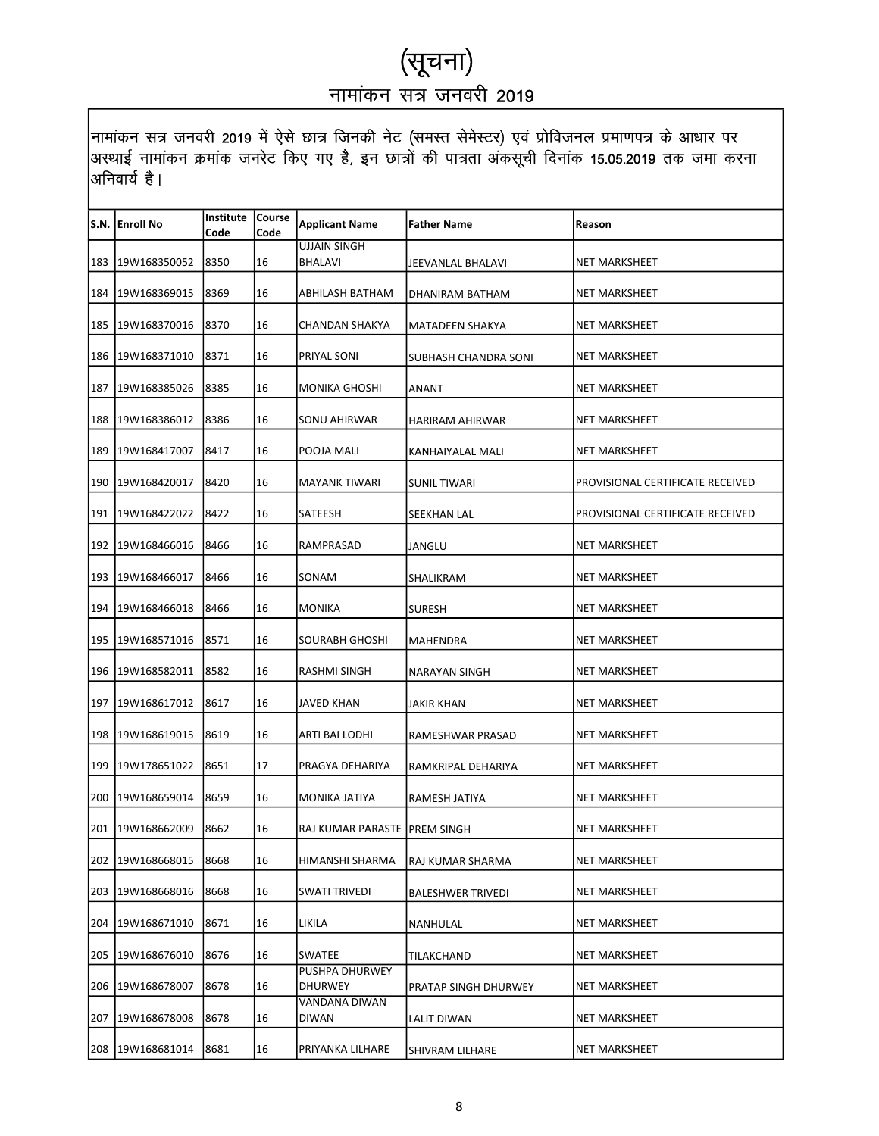|     | S.N.  Enroll No    | <b>Institute Course</b> |      | <b>Applicant Name</b>          | <b>Father Name</b>       | Reason                           |
|-----|--------------------|-------------------------|------|--------------------------------|--------------------------|----------------------------------|
|     |                    | Code                    | Code | <b>UJJAIN SINGH</b>            |                          |                                  |
|     | 183 19W168350052   | 8350                    | 16   | <b>BHALAVI</b>                 | JEEVANLAL BHALAVI        | NET MARKSHEET                    |
| 184 | 19W168369015       | 8369                    | 16   | ABHILASH BATHAM                | DHANIRAM BATHAM          | NET MARKSHEET                    |
| 185 | 19W168370016       | 8370                    | 16   | CHANDAN SHAKYA                 | MATADEEN SHAKYA          | NET MARKSHEET                    |
|     | 186 19W168371010   | 8371                    | 16   | PRIYAL SONI                    | SUBHASH CHANDRA SONI     | NET MARKSHEET                    |
|     | 187   19W168385026 | 8385                    | 16   | <b>MONIKA GHOSHI</b>           | ANANT                    | <b>NET MARKSHEET</b>             |
| 188 | 19W168386012       | 8386                    | 16   | SONU AHIRWAR                   | HARIRAM AHIRWAR          | NET MARKSHEET                    |
|     | 189 19W168417007   | 8417                    | 16   | POOJA MALI                     | KANHAIYALAL MALI         | NET MARKSHEET                    |
|     | 190 19W168420017   | 8420                    | 16   | <b>MAYANK TIWARI</b>           | <b>SUNIL TIWARI</b>      | PROVISIONAL CERTIFICATE RECEIVED |
| 191 | 19W168422022       | 8422                    | 16   | SATEESH                        | SEEKHAN LAL              | PROVISIONAL CERTIFICATE RECEIVED |
|     | 192 19W168466016   | 8466                    | 16   | RAMPRASAD                      | JANGLU                   | NET MARKSHEET                    |
|     | 193 19W168466017   | 8466                    | 16   | SONAM                          | SHALIKRAM                | <b>NET MARKSHEET</b>             |
|     | 194   19W168466018 | 8466                    | 16   | MONIKA                         | <b>SURESH</b>            | NET MARKSHEET                    |
| 195 | 19W168571016       | 8571                    | 16   | SOURABH GHOSHI                 | MAHENDRA                 | NET MARKSHEET                    |
|     | 196 19W168582011   | 8582                    | 16   | RASHMI SINGH                   | NARAYAN SINGH            | <b>NET MARKSHEET</b>             |
| 197 | 19W168617012       | 8617                    | 16   | JAVED KHAN                     | JAKIR KHAN               | NET MARKSHEET                    |
| 198 | 19W168619015       | 8619                    | 16   | ARTI BAI LODHI                 | RAMESHWAR PRASAD         | NET MARKSHEET                    |
| 199 | 19W178651022       | 8651                    | 17   | PRAGYA DEHARIYA                | RAMKRIPAL DEHARIYA       | <b>NET MARKSHEET</b>             |
|     | 200 19W168659014   | 8659                    | 16   | MONIKA JATIYA                  | RAMESH JATIYA            | NET MARKSHEET                    |
|     | 201 19W168662009   | 8662                    | 16   | RAJ KUMAR PARASTE   PREM SINGH |                          | <b>NET MARKSHEET</b>             |
|     | 202 19W168668015   | 8668                    | 16   | HIMANSHI SHARMA                | RAJ KUMAR SHARMA         | NET MARKSHEET                    |
| 203 | 19W168668016       | 8668                    | 16   | SWATI TRIVEDI                  | <b>BALESHWER TRIVEDI</b> | <b>NET MARKSHEET</b>             |
| 204 | 19W168671010       | 8671                    | 16   | LIKILA                         | NANHULAL                 | NET MARKSHEET                    |
| 205 | 19W168676010       | 8676                    | 16   | SWATEE                         | TILAKCHAND               | NET MARKSHEET                    |
| 206 | 19W168678007       | 8678                    | 16   | PUSHPA DHURWEY<br>DHURWEY      | PRATAP SINGH DHURWEY     | NET MARKSHEET                    |
| 207 | 19W168678008       | 8678                    | 16   | VANDANA DIWAN<br>DIWAN         | LALIT DIWAN              | NET MARKSHEET                    |
|     | 208 19W168681014   | 8681                    | 16   | PRIYANKA LILHARE               | SHIVRAM LILHARE          | NET MARKSHEET                    |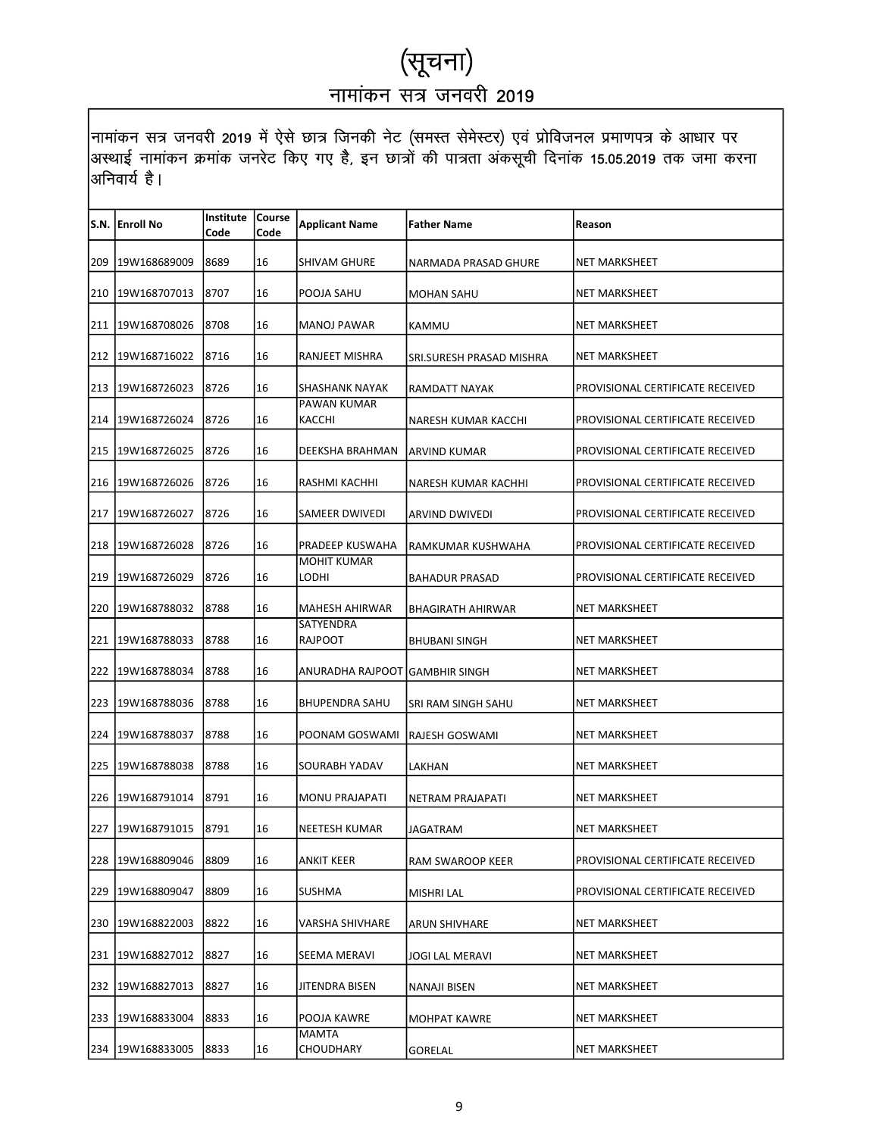|     | S.N. Enroll No   | <b>Institute Course</b><br>Code | Code | <b>Applicant Name</b>           | Father Name              | Reason                           |
|-----|------------------|---------------------------------|------|---------------------------------|--------------------------|----------------------------------|
|     | 209 19W168689009 | 8689                            | 16   | SHIVAM GHURE                    | NARMADA PRASAD GHURE     | NET MARKSHEET                    |
| 210 | 19W168707013     | 8707                            | 16   | POOJA SAHU                      | <b>MOHAN SAHU</b>        | NET MARKSHEET                    |
| 211 | 19W168708026     | 8708                            | 16   | MANOJ PAWAR                     | KAMMU                    | NET MARKSHEET                    |
|     | 212 19W168716022 | 8716                            | 16   | RANJEET MISHRA                  | SRI.SURESH PRASAD MISHRA | NET MARKSHEET                    |
|     | 213 19W168726023 | 8726                            | 16   | <b>SHASHANK NAYAK</b>           | RAMDATT NAYAK            | PROVISIONAL CERTIFICATE RECEIVED |
|     | 214 19W168726024 | 8726                            | 16   | PAWAN KUMAR<br>KACCHI           | NARESH KUMAR KACCHI      | PROVISIONAL CERTIFICATE RECEIVED |
|     | 215 19W168726025 | 8726                            | 16   | DEEKSHA BRAHMAN                 | ARVIND KUMAR             | PROVISIONAL CERTIFICATE RECEIVED |
|     | 216 19W168726026 | 8726                            | 16   | RASHMI KACHHI                   | NARESH KUMAR KACHHI      | PROVISIONAL CERTIFICATE RECEIVED |
| 217 | 19W168726027     | 8726                            | 16   | SAMEER DWIVEDI                  | <b>ARVIND DWIVEDI</b>    | PROVISIONAL CERTIFICATE RECEIVED |
| 218 | 19W168726028     | 8726                            | 16   | PRADEEP KUSWAHA                 | RAMKUMAR KUSHWAHA        | PROVISIONAL CERTIFICATE RECEIVED |
|     | 219 19W168726029 | 8726                            | 16   | <b>MOHIT KUMAR</b><br>LODHI     | <b>BAHADUR PRASAD</b>    | PROVISIONAL CERTIFICATE RECEIVED |
|     | 220 19W168788032 | 8788                            | 16   | <b>MAHESH AHIRWAR</b>           | <b>BHAGIRATH AHIRWAR</b> | NET MARKSHEET                    |
|     | 221 19W168788033 | 8788                            | 16   | SATYENDRA<br><b>RAJPOOT</b>     | <b>BHUBANI SINGH</b>     | NET MARKSHEET                    |
|     | 222 19W168788034 | 8788                            | 16   | ANURADHA RAJPOOT IGAMBHIR SINGH |                          | NET MARKSHEET                    |
| 223 | 19W168788036     | 8788                            | 16   | <b>BHUPENDRA SAHU</b>           | SRI RAM SINGH SAHU       | NET MARKSHEET                    |
| 224 | 19W168788037     | 8788                            | 16   | POONAM GOSWAMI                  | RAJESH GOSWAMI           | NET MARKSHEET                    |
| 225 | 19W168788038     | 8788                            | 16   | SOURABH YADAV                   | LAKHAN                   | NET MARKSHEET                    |
|     | 226 19W168791014 | 8791                            | 16   | <b>MONU PRAJAPATI</b>           | <b>NETRAM PRAJAPATI</b>  | NET MARKSHEET                    |
|     | 227 19W168791015 | 8791                            | 16   | <b>NEETESH KUMAR</b>            | JAGATRAM                 | NET MARKSHEET                    |
|     | 228 19W168809046 | 8809                            | 16   | ANKIT KEER                      | RAM SWAROOP KEER         | PROVISIONAL CERTIFICATE RECEIVED |
| 229 | 19W168809047     | 8809                            | 16   | SUSHMA                          | <b>MISHRI LAL</b>        | PROVISIONAL CERTIFICATE RECEIVED |
| 230 | 19W168822003     | 8822                            | 16   | VARSHA SHIVHARE                 | ARUN SHIVHARE            | NET MARKSHEET                    |
|     | 231 19W168827012 | 8827                            | 16   | SEEMA MERAVI                    | <b>JOGI LAL MERAVI</b>   | NET MARKSHEET                    |
| 232 | 19W168827013     | 8827                            | 16   | JITENDRA BISEN                  | NANAJI BISEN             | NET MARKSHEET                    |
| 233 | 19W168833004     | 8833                            | 16   | POOJA KAWRE                     | <b>MOHPAT KAWRE</b>      | NET MARKSHEET                    |
|     | 234 19W168833005 | 8833                            | 16   | MAMTA<br>CHOUDHARY              | GORELAL                  | NET MARKSHEET                    |